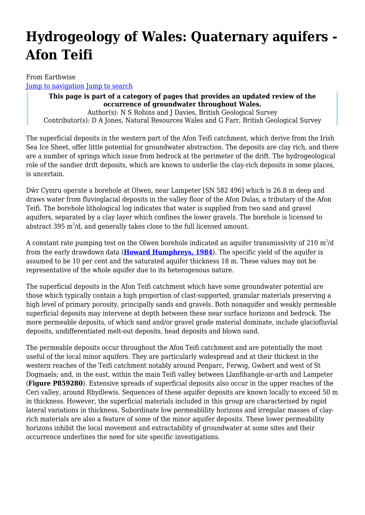# **Hydrogeology of Wales: Quaternary aquifers - Afon Teifi**

From Earthwise [Jump to navigation](#page--1-0) [Jump to search](#page--1-0)

> **This page is part of a category of pages that provides an updated review of the occurrence of groundwater throughout Wales.** Author(s): N S Robins and J Davies, British Geological Survey Contributor(s): D A Jones, Natural Resources Wales and G Farr, British Geological Survey

The superficial deposits in the western part of the Afon Teifi catchment, which derive from the Irish Sea Ice Sheet, offer little potential for groundwater abstraction. The deposits are clay rich, and there are a number of springs which issue from bedrock at the perimeter of the drift. The hydrogeological role of the sandier drift deposits, which are known to underlie the clay-rich deposits in some places, is uncertain.

Dŵr Cymru operate a borehole at Olwen, near Lampeter [SN 582 496] which is 26.8 m deep and draws water from fluvioglacial deposits in the valley floor of the Afon Dulas, a tributary of the Afon Teifi. The borehole lithological log indicates that water is supplied from two sand and gravel aquifers, separated by a clay layer which confines the lower gravels. The borehole is licensed to abstract 395  $m^3/d$ , and generally takes close to the full licensed amount.

A constant rate pumping test on the Olwen borehole indicated an aquifer transmissivity of 210  $\mathrm{m}^2/\mathrm{d}$ from the early drawdown data (**[Howard Humphreys, 1984](http://earthwise.bgs.ac.uk/index.php/Hydrogeology_of_Wales:_References)**). The specific yield of the aquifer is assumed to be 10 per cent and the saturated aquifer thickness 18 m. These values may not be representative of the whole aquifer due to its heterogenous nature.

The superficial deposits in the Afon Teifi catchment which have some groundwater potential are those which typically contain a high proportion of clast-supported, granular materials preserving a high level of primary porosity, principally sands and gravels. Both nonaquifer and weakly permeable superficial deposits may intervene at depth between these near surface horizons and bedrock. The more permeable deposits, of which sand and/or gravel grade material dominate, include glaciofluvial deposits, undifferentiated melt-out deposits, head deposits and blown sand.

The permeable deposits occur throughout the Afon Teifi catchment and are potentially the most useful of the local minor aquifers. They are particularly widespread and at their thickest in the western reaches of the Teifi catchment notably around Penparc, Ferwig, Gwbert and west of St Dogmaels; and, in the east, within the main Teifi valley between Llanfihangle-ar-arth and Lampeter (**Figure P859280**). Extensive spreads of superficial deposits also occur in the upper reaches of the Ceri valley, around Rhydlewis. Sequences of these aquifer deposits are known locally to exceed 50 m in thickness. However, the superficial materials included in this group are characterised by rapid lateral variations in thickness. Subordinate low permeablility horizons and irregular masses of clayrich materials are also a feature of some of the minor aquifer deposits. These lower permeability horizons inhibit the local movement and extractability of groundwater at some sites and their occurrence underlines the need for site specific investigations.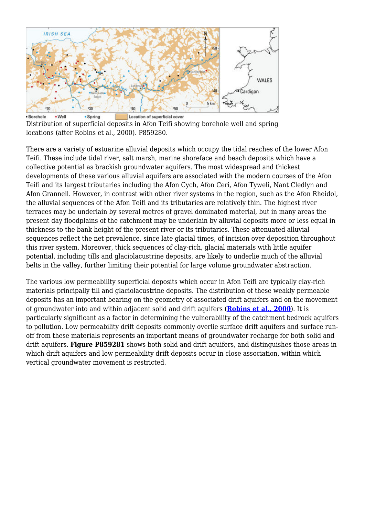

Distribution of superficial deposits in Afon Teifi showing borehole well and spring locations (after Robins et al., 2000). P859280.

There are a variety of estuarine alluvial deposits which occupy the tidal reaches of the lower Afon Teifi. These include tidal river, salt marsh, marine shoreface and beach deposits which have a collective potential as brackish groundwater aquifers. The most widespread and thickest developments of these various alluvial aquifers are associated with the modern courses of the Afon Teifi and its largest tributaries including the Afon Cych, Afon Ceri, Afon Tyweli, Nant Cledlyn and Afon Grannell. However, in contrast with other river systems in the region, such as the Afon Rheidol, the alluvial sequences of the Afon Teifi and its tributaries are relatively thin. The highest river terraces may be underlain by several metres of gravel dominated material, but in many areas the present day floodplains of the catchment may be underlain by alluvial deposits more or less equal in thickness to the bank height of the present river or its tributaries. These attenuated alluvial sequences reflect the net prevalence, since late glacial times, of incision over deposition throughout this river system. Moreover, thick sequences of clay-rich, glacial materials with little aquifer potential, including tills and glaciolacustrine deposits, are likely to underlie much of the alluvial belts in the valley, further limiting their potential for large volume groundwater abstraction.

The various low permeability superficial deposits which occur in Afon Teifi are typically clay-rich materials principally till and glaciolacustrine deposits. The distribution of these weakly permeable deposits has an important bearing on the geometry of associated drift aquifers and on the movement of groundwater into and within adjacent solid and drift aquifers (**[Robins et al., 2000](http://earthwise.bgs.ac.uk/index.php/Hydrogeology_of_Wales:_References)**). It is particularly significant as a factor in determining the vulnerability of the catchment bedrock aquifers to pollution. Low permeability drift deposits commonly overlie surface drift aquifers and surface runoff from these materials represents an important means of groundwater recharge for both solid and drift aquifers. **Figure P859281** shows both solid and drift aquifers, and distinguishes those areas in which drift aquifers and low permeability drift deposits occur in close association, within which vertical groundwater movement is restricted.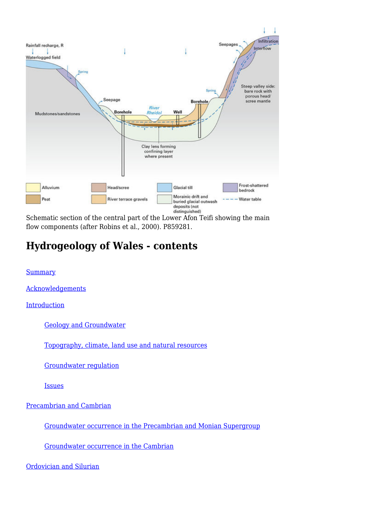

Schematic section of the central part of the Lower Afon Teifi showing the main flow components (after Robins et al., 2000). P859281.

# **Hydrogeology of Wales - contents**

**[Summary](http://earthwise.bgs.ac.uk/index.php/Hydrogeology_of_Wales:_Summary)** 

[Acknowledgements](http://earthwise.bgs.ac.uk/index.php/Hydrogeology_of_Wales:_Acknowledgements)

[Introduction](http://earthwise.bgs.ac.uk/index.php/Hydrogeology_of_Wales:_Introduction)

[Geology and Groundwater](http://earthwise.bgs.ac.uk/index.php/Hydrogeology_of_Wales:_Introduction_-_geology_and_groundwater)

[Topography, climate, land use and natural resources](http://earthwise.bgs.ac.uk/index.php/Hydrogeology_of_Wales:_Introduction_-_topography,_climate,_land_use_and_natural_resources)

[Groundwater regulation](http://earthwise.bgs.ac.uk/index.php/Hydrogeology_of_Wales:_Introduction_-_groundwater_regulation)

[Issues](http://earthwise.bgs.ac.uk/index.php/Hydrogeology_of_Wales:_Introduction_-_issues)

[Precambrian and Cambrian](http://earthwise.bgs.ac.uk/index.php/Hydrogeology_of_Wales:_Precambrian_and_Cambrian_aquifers)

[Groundwater occurrence in the Precambrian and Monian Supergroup](http://earthwise.bgs.ac.uk/index.php/Hydrogeology_of_Wales:_Precambrian_and_Cambrian_aquifers_-_groundwater_occurrence_in_the_Precambrian_and_Monian_Supergroup)

[Groundwater occurrence in the Cambrian](http://earthwise.bgs.ac.uk/index.php/Hydrogeology_of_Wales:_Precambrian_and_Cambrian_aquifers_-_groundwater_occurrence_in_the_Cambrian)

[Ordovician and Silurian](http://earthwise.bgs.ac.uk/index.php/Hydrogeology_of_Wales:_Ordovician_and_Silurian_aquifers)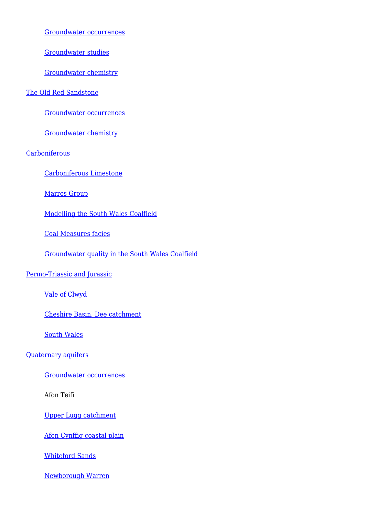[Groundwater occurrences](http://earthwise.bgs.ac.uk/index.php/Hydrogeology_of_Wales:_Ordovician_and_Silurian_aquifers_-_groundwater_occurrences)

[Groundwater studies](http://earthwise.bgs.ac.uk/index.php/Hydrogeology_of_Wales:_Ordovician_and_Silurian_aquifers_-_groundwater_studies)

[Groundwater chemistry](http://earthwise.bgs.ac.uk/index.php/Hydrogeology_of_Wales:_Ordovician_and_Silurian_aquifers_-_groundwater_chemistry)

#### [The Old Red Sandstone](http://earthwise.bgs.ac.uk/index.php/Hydrogeology_of_Wales:_The_Old_Red_Sandstone_aquifer)

[Groundwater occurrences](http://earthwise.bgs.ac.uk/index.php/Hydrogeology_of_Wales:_The_Old_Red_Sandstone_aquifer_-_groundwater_occurrences)

[Groundwater chemistry](http://earthwise.bgs.ac.uk/index.php/Hydrogeology_of_Wales:_The_Old_Red_Sandstone_aquifer_-_groundwater_chemistry)

**[Carboniferous](http://earthwise.bgs.ac.uk/index.php/Hydrogeology_of_Wales:_Carboniferous_aquifers)** 

[Carboniferous Limestone](http://earthwise.bgs.ac.uk/index.php/Hydrogeology_of_Wales:_Carboniferous_aquifers_-_the_Carboniferous_Limestone_aquifer)

[Marros Group](http://earthwise.bgs.ac.uk/index.php/Hydrogeology_of_Wales:_Carboniferous_aquifers_-_the_Marros_Group)

[Modelling the South Wales Coalfield](http://earthwise.bgs.ac.uk/index.php/Hydrogeology_of_Wales:_Carboniferous_aquifers_-_modelling_the_South_Wales_Coalfield)

[Coal Measures facies](http://earthwise.bgs.ac.uk/index.php/Hydrogeology_of_Wales:_Carboniferous_aquifers_-_the_Coal_Measures_facies)

[Groundwater quality in the South Wales Coalfield](http://earthwise.bgs.ac.uk/index.php/Hydrogeology_of_Wales:_Carboniferous_aquifers_-_groundwater_quality_in_the_South_Wales_Coalfield)

#### [Permo-Triassic and Jurassic](http://earthwise.bgs.ac.uk/index.php/Hydrogeology_of_Wales:_Permo-Triassic_and_Jurassic_aquifers)

[Vale of Clwyd](http://earthwise.bgs.ac.uk/index.php/Hydrogeology_of_Wales:_Permo-Triassic_and_Jurassic_aquifers_-_Vale_of_Clwyd)

[Cheshire Basin, Dee catchment](http://earthwise.bgs.ac.uk/index.php/Hydrogeology_of_Wales:_Permo-Triassic_and_Jurassic_aquifers_-_Cheshire_Basin_-_Dee_catchment)

[South Wales](http://earthwise.bgs.ac.uk/index.php/Hydrogeology_of_Wales:_Permo-Triassic_and_Jurassic_aquifers_-_South_Wales)

#### [Quaternary aquifers](http://earthwise.bgs.ac.uk/index.php/Hydrogeology_of_Wales:_Quaternary_aquifers)

[Groundwater occurrences](http://earthwise.bgs.ac.uk/index.php/Hydrogeology_of_Wales:_Quaternary_aquifers_-_groundwater_occurrences)

Afon Teifi

[Upper Lugg catchment](http://earthwise.bgs.ac.uk/index.php/Hydrogeology_of_Wales:_Quaternary_aquifers_-_the_Upper_Lugg_catchment)

[Afon Cynffig coastal plain](http://earthwise.bgs.ac.uk/index.php/Hydrogeology_of_Wales:_Quaternary_aquifers_-_Afon_Cynffig_coastal_plain)

[Whiteford Sands](http://earthwise.bgs.ac.uk/index.php/Hydrogeology_of_Wales:_Quaternary_aquifers_-_Whiteford_Sands)

[Newborough Warren](http://earthwise.bgs.ac.uk/index.php/Hydrogeology_of_Wales:_Quaternary_aquifers_-_Newborough_Warren)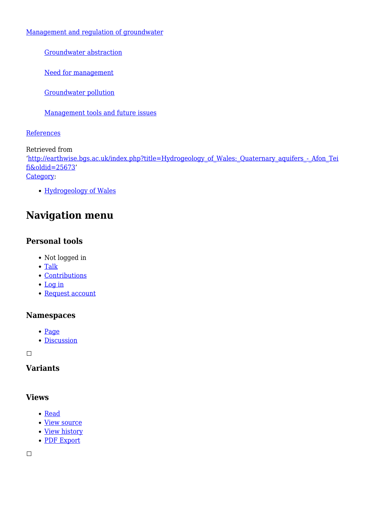[Management and regulation of groundwater](http://earthwise.bgs.ac.uk/index.php/Hydrogeology_of_Wales:_Management_and_regulation_of_groundwater)

[Groundwater abstraction](http://earthwise.bgs.ac.uk/index.php/Hydrogeology_of_Wales:_Management_and_regulation_of_groundwater_-_groundwater_abstraction)

[Need for management](http://earthwise.bgs.ac.uk/index.php/Hydrogeology_of_Wales:_Management_and_regulation_of_groundwater_-_need_for_management)

[Groundwater pollution](http://earthwise.bgs.ac.uk/index.php/Hydrogeology_of_Wales:_Management_and_regulation_of_groundwater_-_groundwater_pollution)

[Management tools and future issues](http://earthwise.bgs.ac.uk/index.php/Hydrogeology_of_Wales:_Management_and_regulation_of_groundwater_-_management_tools_and_future_issues)

**[References](http://earthwise.bgs.ac.uk/index.php/Hydrogeology_of_Wales:_References)** 

Retrieved from '[http://earthwise.bgs.ac.uk/index.php?title=Hydrogeology\\_of\\_Wales:\\_Quaternary\\_aquifers\\_-\\_Afon\\_Tei](http://earthwise.bgs.ac.uk/index.php?title=Hydrogeology_of_Wales:_Quaternary_aquifers_-_Afon_Teifi&oldid=25673) [fi&oldid=25673'](http://earthwise.bgs.ac.uk/index.php?title=Hydrogeology_of_Wales:_Quaternary_aquifers_-_Afon_Teifi&oldid=25673) [Category](http://earthwise.bgs.ac.uk/index.php/Special:Categories):

[Hydrogeology of Wales](http://earthwise.bgs.ac.uk/index.php/Category:Hydrogeology_of_Wales)

# **Navigation menu**

## **Personal tools**

- Not logged in
- [Talk](http://earthwise.bgs.ac.uk/index.php/Special:MyTalk)
- [Contributions](http://earthwise.bgs.ac.uk/index.php/Special:MyContributions)
- [Log in](http://earthwise.bgs.ac.uk/index.php?title=Special:UserLogin&returnto=Hydrogeology+of+Wales%3A+Quaternary+aquifers+-+Afon+Teifi&returntoquery=action%3Dmpdf)
- [Request account](http://earthwise.bgs.ac.uk/index.php/Special:RequestAccount)

### **Namespaces**

- [Page](http://earthwise.bgs.ac.uk/index.php/Hydrogeology_of_Wales:_Quaternary_aquifers_-_Afon_Teifi)
- [Discussion](http://earthwise.bgs.ac.uk/index.php?title=Talk:Hydrogeology_of_Wales:_Quaternary_aquifers_-_Afon_Teifi&action=edit&redlink=1)

 $\Box$ 

### **Variants**

### **Views**

- [Read](http://earthwise.bgs.ac.uk/index.php/Hydrogeology_of_Wales:_Quaternary_aquifers_-_Afon_Teifi)
- [View source](http://earthwise.bgs.ac.uk/index.php?title=Hydrogeology_of_Wales:_Quaternary_aquifers_-_Afon_Teifi&action=edit)
- [View history](http://earthwise.bgs.ac.uk/index.php?title=Hydrogeology_of_Wales:_Quaternary_aquifers_-_Afon_Teifi&action=history)
- [PDF Export](http://earthwise.bgs.ac.uk/index.php?title=Hydrogeology_of_Wales:_Quaternary_aquifers_-_Afon_Teifi&action=mpdf)

 $\Box$